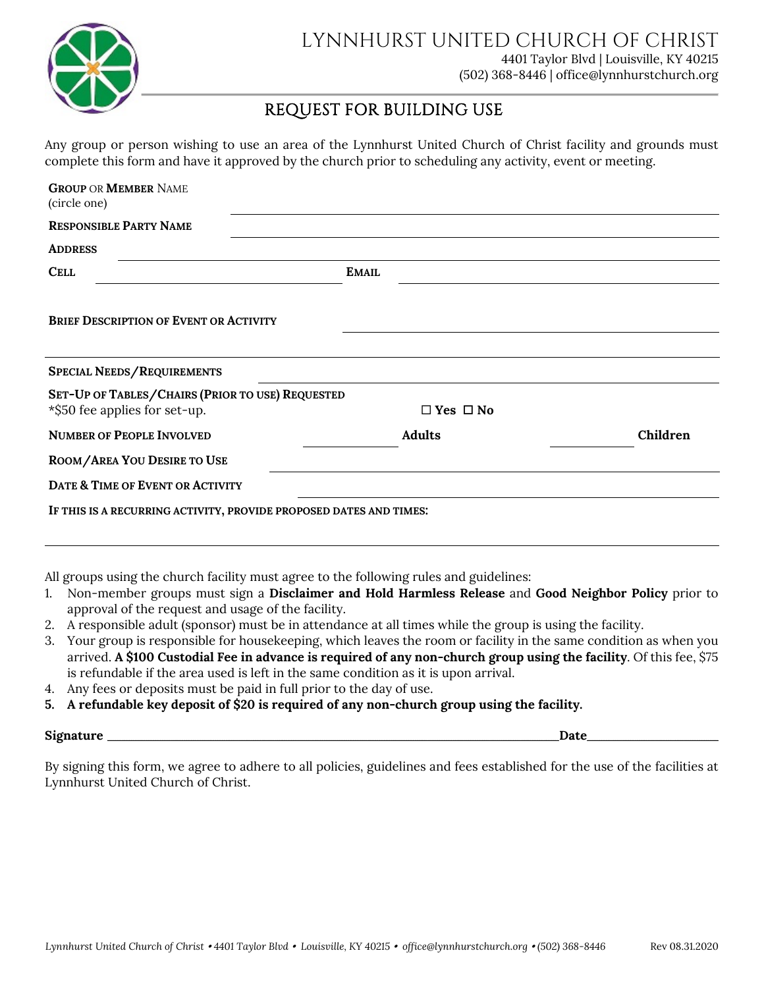

## REQUEST FOR BUILDING USE

Any group or person wishing to use an area of the Lynnhurst United Church of Christ facility and grounds must complete this form and have it approved by the church prior to scheduling any activity, event or meeting.

| <b>GROUP OR MEMBER NAME</b><br>(circle one)                        |                      |          |
|--------------------------------------------------------------------|----------------------|----------|
| <b>RESPONSIBLE PARTY NAME</b>                                      |                      |          |
| <b>ADDRESS</b>                                                     |                      |          |
| <b>CELL</b>                                                        | <b>EMAIL</b>         |          |
| <b>BRIEF DESCRIPTION OF EVENT OR ACTIVITY</b>                      |                      |          |
| <b>SPECIAL NEEDS/REQUIREMENTS</b>                                  |                      |          |
| SET-UP OF TABLES/CHAIRS (PRIOR TO USE) REQUESTED                   |                      |          |
| *\$50 fee applies for set-up.                                      | $\Box$ Yes $\Box$ No |          |
| <b>NUMBER OF PEOPLE INVOLVED</b>                                   | <b>Adults</b>        | Children |
| ROOM/AREA YOU DESIRE TO USE                                        |                      |          |
| DATE & TIME OF EVENT OR ACTIVITY                                   |                      |          |
| IF THIS IS A RECURRING ACTIVITY, PROVIDE PROPOSED DATES AND TIMES: |                      |          |

All groups using the church facility must agree to the following rules and guidelines:

- 1. Non-member groups must sign a **Disclaimer and Hold Harmless Release** and **Good Neighbor Policy** prior to approval of the request and usage of the facility.
- 2. A responsible adult (sponsor) must be in attendance at all times while the group is using the facility.
- 3. Your group is responsible for housekeeping, which leaves the room or facility in the same condition as when you arrived. **A \$100 Custodial Fee in advance is required of any non-church group using the facility**. Of this fee, \$75 is refundable if the area used is left in the same condition as it is upon arrival.
- 4. Any fees or deposits must be paid in full prior to the day of use.
- **5. A refundable key deposit of \$20 is required of any non-church group using the facility.**

#### **Signature** \_\_\_\_\_\_\_\_\_\_\_\_\_\_\_\_\_\_\_\_\_\_\_\_\_\_\_\_\_\_\_\_\_\_\_\_\_\_\_\_\_\_\_\_\_\_\_\_\_\_\_\_\_\_\_\_\_\_\_\_\_\_\_\_\_\_\_\_\_\_\_\_\_\_\_\_\_\_\_\_\_\_\_\_\_\_\_\_\_\_\_\_\_\_\_\_\_\_\_\_\_\_\_\_\_\_\_\_\_\_\_\_\_\_\_\_\_\_\_\_\_\_\_\_\_\_\_\_\_\_\_\_\_\_\_\_\_\_\_\_\_\_\_\_\_\_\_\_\_\_\_\_\_\_\_\_\_\_\_\_\_\_\_\_\_\_\_\_\_\_\_\_\_\_\_\_\_\_\_\_\_\_\_\_\_\_\_\_\_\_\_\_\_\_\_\_\_\_\_\_\_\_\_\_\_\_\_\_\_\_\_\_\_\_\_\_\_\_\_\_\_\_\_\_\_\_\_\_\_\_\_\_\_\_\_\_\_\_\_\_\_\_\_\_\_\_\_\_ **Date** \_\_\_\_\_\_\_\_\_\_\_\_\_\_\_\_\_\_\_\_\_\_\_\_\_\_\_\_\_\_\_\_\_\_\_\_\_\_\_\_\_\_\_\_\_\_\_\_\_\_\_\_\_\_\_\_\_\_\_\_\_\_\_\_\_\_\_\_\_\_\_\_

By signing this form, we agree to adhere to all policies, guidelines and fees established for the use of the facilities at Lynnhurst United Church of Christ.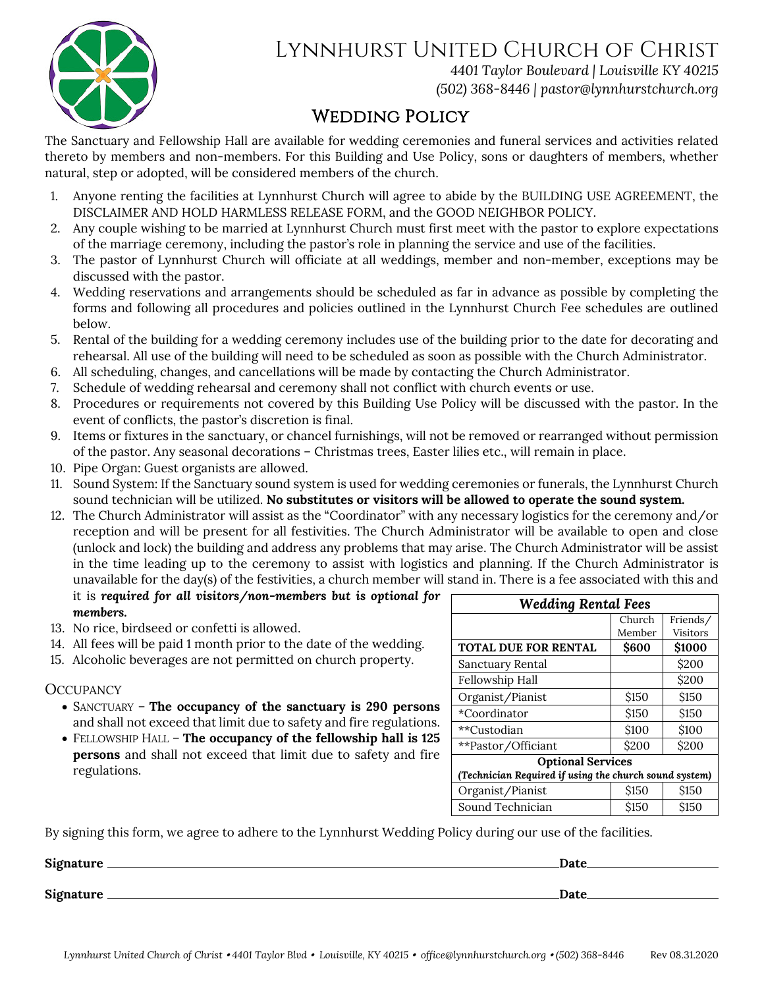

# Lynnhurst United Church of Christ

*4401 Taylor Boulevard | Louisville KY 40215 (502) 368-8446 | [pastor@lynnhurstchurch.org](mailto:pastor@lynnhurstchurch.org)*

# WEDDING POLICY

The Sanctuary and Fellowship Hall are available for wedding ceremonies and funeral services and activities related thereto by members and non-members. For this Building and Use Policy, sons or daughters of members, whether natural, step or adopted, will be considered members of the church.

- 1. Anyone renting the facilities at Lynnhurst Church will agree to abide by the BUILDING USE AGREEMENT, the DISCLAIMER AND HOLD HARMLESS RELEASE FORM, and the GOOD NEIGHBOR POLICY.
- 2. Any couple wishing to be married at Lynnhurst Church must first meet with the pastor to explore expectations of the marriage ceremony, including the pastor's role in planning the service and use of the facilities.
- 3. The pastor of Lynnhurst Church will officiate at all weddings, member and non-member, exceptions may be discussed with the pastor.
- 4. Wedding reservations and arrangements should be scheduled as far in advance as possible by completing the forms and following all procedures and policies outlined in the Lynnhurst Church Fee schedules are outlined below.
- 5. Rental of the building for a wedding ceremony includes use of the building prior to the date for decorating and rehearsal. All use of the building will need to be scheduled as soon as possible with the Church Administrator.
- 6. All scheduling, changes, and cancellations will be made by contacting the Church Administrator.
- 7. Schedule of wedding rehearsal and ceremony shall not conflict with church events or use.
- 8. Procedures or requirements not covered by this Building Use Policy will be discussed with the pastor. In the event of conflicts, the pastor's discretion is final.
- 9. Items or fixtures in the sanctuary, or chancel furnishings, will not be removed or rearranged without permission of the pastor. Any seasonal decorations – Christmas trees, Easter lilies etc., will remain in place.
- 10. Pipe Organ: Guest organists are allowed.
- 11. Sound System: If the Sanctuary sound system is used for wedding ceremonies or funerals, the Lynnhurst Church sound technician will be utilized. **No substitutes or visitors will be allowed to operate the sound system.**
- 12. The Church Administrator will assist as the "Coordinator" with any necessary logistics for the ceremony and/or reception and will be present for all festivities. The Church Administrator will be available to open and close (unlock and lock) the building and address any problems that may arise. The Church Administrator will be assist in the time leading up to the ceremony to assist with logistics and planning. If the Church Administrator is unavailable for the day(s) of the festivities, a church member will stand in. There is a fee associated with this and it is *required for all visitors/non-members but is optional for*

*members.* 

- 13. No rice, birdseed or confetti is allowed.
- 14. All fees will be paid 1 month prior to the date of the wedding.
- 15. Alcoholic beverages are not permitted on church property.

## **OCCUPANCY**

- SANCTUARY **The occupancy of the sanctuary is 290 persons** and shall not exceed that limit due to safety and fire regulations.
- FELLOWSHIP HALL **The occupancy of the fellowship hall is 125 persons** and shall not exceed that limit due to safety and fire regulations.

| <b>Wedding Rental Fees</b>                             |             |                 |  |  |
|--------------------------------------------------------|-------------|-----------------|--|--|
|                                                        | Church      | Friends/        |  |  |
|                                                        | Member      | <b>Visitors</b> |  |  |
| <b>TOTAL DUE FOR RENTAL</b>                            | \$600       | \$1000          |  |  |
| Sanctuary Rental                                       |             | \$200           |  |  |
| Fellowship Hall                                        |             | \$200           |  |  |
| Organist/Pianist                                       | <b>S150</b> | \$150           |  |  |
| *Coordinator                                           | <b>S150</b> | \$150           |  |  |
| **Custodian                                            | \$100       | \$100           |  |  |
| **Pastor/Officiant                                     | \$200       | \$200           |  |  |
| <b>Optional Services</b>                               |             |                 |  |  |
| (Technician Required if using the church sound system) |             |                 |  |  |
| Organist/Pianist                                       | \$150       | \$150           |  |  |
| Sound Technician                                       | <b>S150</b> | <b>S150</b>     |  |  |

By signing this form, we agree to adhere to the Lynnhurst Wedding Policy during our use of the facilities.

| Signature        | Date |
|------------------|------|
| <b>Signature</b> | Date |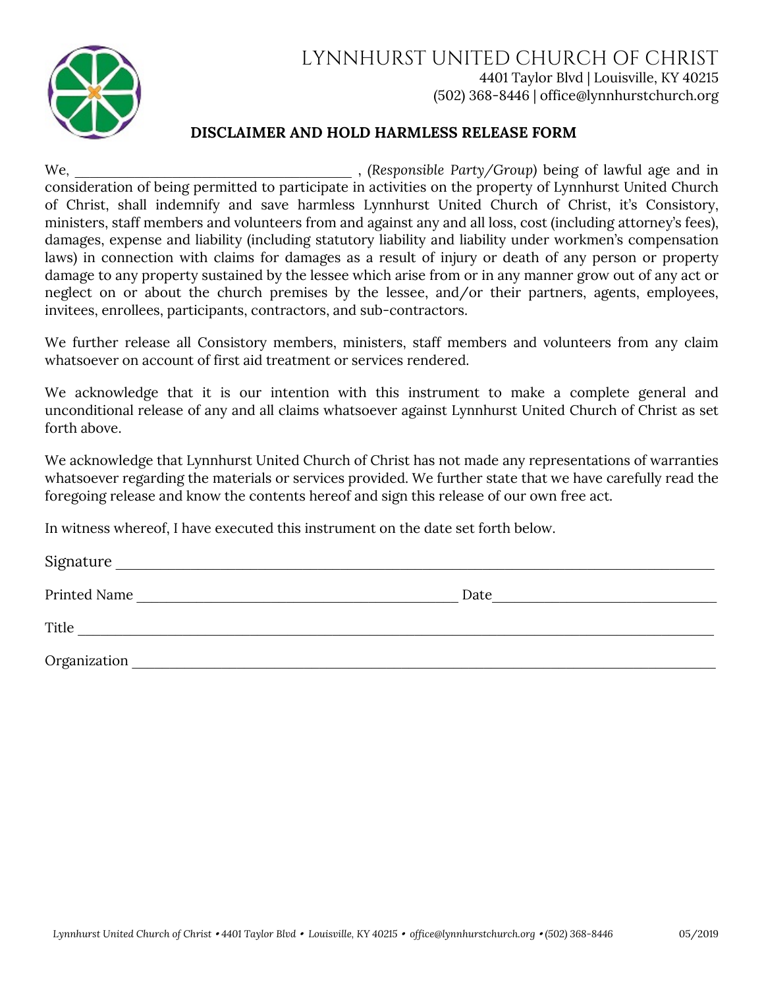

## LYNNHURST UNITED CHURCH OF CHRIST 4401 Taylor Blvd | Louisville, KY 40215 (502) 368-8446 | office@lynnhurstchurch.org

## **DISCLAIMER AND HOLD HARMLESS RELEASE FORM**

We, \_\_\_\_\_\_\_\_\_\_\_\_\_\_\_\_\_\_\_\_\_\_\_\_\_\_\_\_\_\_\_\_\_\_\_\_\_ , *(Responsible Party/Group)* being of lawful age and in consideration of being permitted to participate in activities on the property of Lynnhurst United Church of Christ, shall indemnify and save harmless Lynnhurst United Church of Christ, it's Consistory, ministers, staff members and volunteers from and against any and all loss, cost (including attorney's fees), damages, expense and liability (including statutory liability and liability under workmen's compensation laws) in connection with claims for damages as a result of injury or death of any person or property damage to any property sustained by the lessee which arise from or in any manner grow out of any act or neglect on or about the church premises by the lessee, and/or their partners, agents, employees, invitees, enrollees, participants, contractors, and sub-contractors.

We further release all Consistory members, ministers, staff members and volunteers from any claim whatsoever on account of first aid treatment or services rendered.

We acknowledge that it is our intention with this instrument to make a complete general and unconditional release of any and all claims whatsoever against Lynnhurst United Church of Christ as set forth above.

We acknowledge that Lynnhurst United Church of Christ has not made any representations of warranties whatsoever regarding the materials or services provided. We further state that we have carefully read the foregoing release and know the contents hereof and sign this release of our own free act.

In witness whereof, I have executed this instrument on the date set forth below.

| $\sim$<br>שוכ<br>. |  |
|--------------------|--|
|                    |  |

Printed Name \_\_\_\_\_\_\_\_\_\_\_\_\_\_\_\_\_\_\_\_\_\_\_\_\_\_\_\_\_\_\_\_\_\_\_\_\_\_\_\_\_\_\_ Date\_\_\_\_\_\_\_\_\_\_\_\_\_\_\_\_\_\_\_\_\_\_\_\_\_\_\_\_\_\_

Title

Organization \_\_\_\_\_\_\_\_\_\_\_\_\_\_\_\_\_\_\_\_\_\_\_\_\_\_\_\_\_\_\_\_\_\_\_\_\_\_\_\_\_\_\_\_\_\_\_\_\_\_\_\_\_\_\_\_\_\_\_\_\_\_\_\_\_\_\_\_\_\_\_\_\_\_\_\_\_\_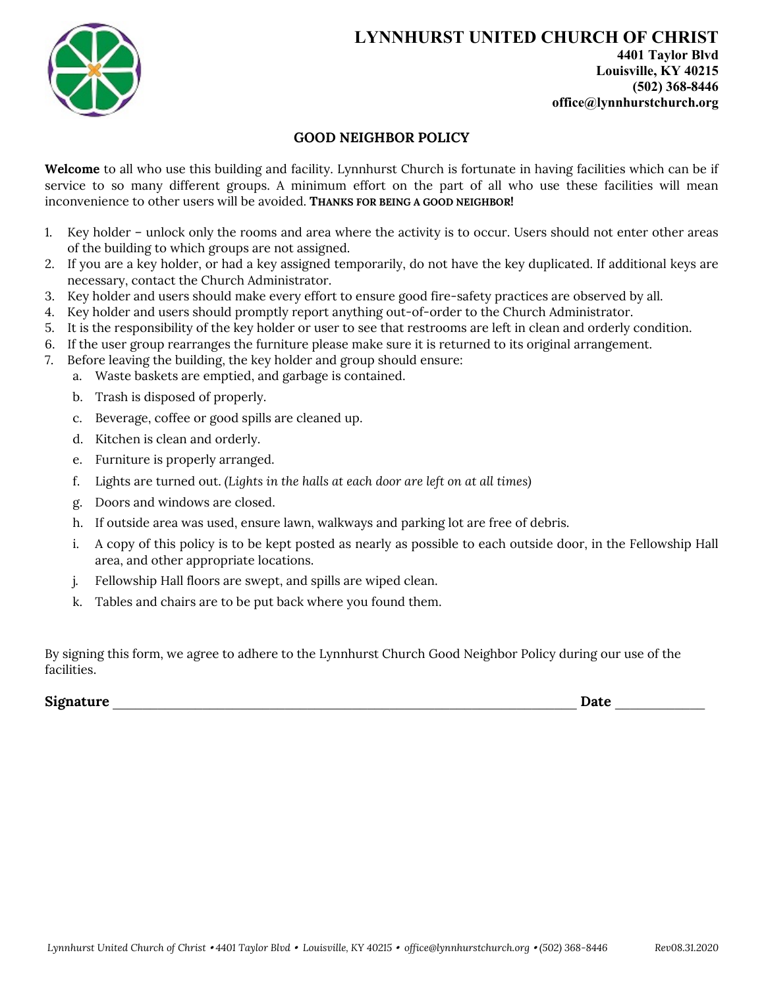

## **GOOD NEIGHBOR POLICY**

**Welcome** to all who use this building and facility. Lynnhurst Church is fortunate in having facilities which can be if service to so many different groups. A minimum effort on the part of all who use these facilities will mean inconvenience to other users will be avoided. **THANKS FOR BEING A GOOD NEIGHBOR!**

- 1. Key holder unlock only the rooms and area where the activity is to occur. Users should not enter other areas of the building to which groups are not assigned.
- 2. If you are a key holder, or had a key assigned temporarily, do not have the key duplicated. If additional keys are necessary, contact the Church Administrator.
- 3. Key holder and users should make every effort to ensure good fire-safety practices are observed by all.
- 4. Key holder and users should promptly report anything out-of-order to the Church Administrator.
- 5. It is the responsibility of the key holder or user to see that restrooms are left in clean and orderly condition.
- 6. If the user group rearranges the furniture please make sure it is returned to its original arrangement.
- 7. Before leaving the building, the key holder and group should ensure:
	- a. Waste baskets are emptied, and garbage is contained.
	- b. Trash is disposed of properly.
	- c. Beverage, coffee or good spills are cleaned up.
	- d. Kitchen is clean and orderly.
	- e. Furniture is properly arranged.
	- f. Lights are turned out. *(Lights in the halls at each door are left on at all times)*
	- g. Doors and windows are closed.
	- h. If outside area was used, ensure lawn, walkways and parking lot are free of debris.
	- i. A copy of this policy is to be kept posted as nearly as possible to each outside door, in the Fellowship Hall area, and other appropriate locations.
	- j. Fellowship Hall floors are swept, and spills are wiped clean.
	- k. Tables and chairs are to be put back where you found them.

By signing this form, we agree to adhere to the Lynnhurst Church Good Neighbor Policy during our use of the facilities.

**Signature Date Date** *Date Date Date Date Date Date Date*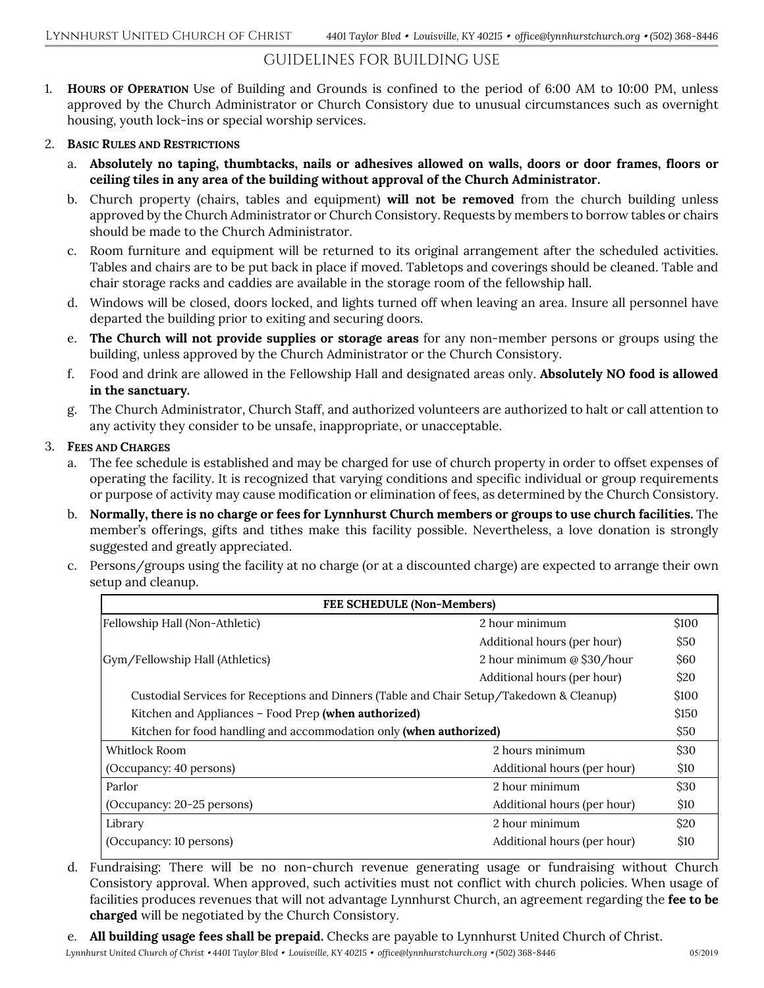## GUIDELINES FOR BUILDING USE

1. **HOURS OF OPERATION** Use of Building and Grounds is confined to the period of 6:00 AM to 10:00 PM, unless approved by the Church Administrator or Church Consistory due to unusual circumstances such as overnight housing, youth lock-ins or special worship services.

#### 2. **BASIC RULES AND RESTRICTIONS**

- a. **Absolutely no taping, thumbtacks, nails or adhesives allowed on walls, doors or door frames, floors or ceiling tiles in any area of the building without approval of the Church Administrator.**
- b. Church property (chairs, tables and equipment) **will not be removed** from the church building unless approved by the Church Administrator or Church Consistory. Requests by members to borrow tables or chairs should be made to the Church Administrator.
- c. Room furniture and equipment will be returned to its original arrangement after the scheduled activities. Tables and chairs are to be put back in place if moved. Tabletops and coverings should be cleaned. Table and chair storage racks and caddies are available in the storage room of the fellowship hall.
- d. Windows will be closed, doors locked, and lights turned off when leaving an area. Insure all personnel have departed the building prior to exiting and securing doors.
- e. **The Church will not provide supplies or storage areas** for any non-member persons or groups using the building, unless approved by the Church Administrator or the Church Consistory.
- f. Food and drink are allowed in the Fellowship Hall and designated areas only. **Absolutely NO food is allowed in the sanctuary.**
- g. The Church Administrator, Church Staff, and authorized volunteers are authorized to halt or call attention to any activity they consider to be unsafe, inappropriate, or unacceptable.

#### 3. **FEES AND CHARGES**

- a. The fee schedule is established and may be charged for use of church property in order to offset expenses of operating the facility. It is recognized that varying conditions and specific individual or group requirements or purpose of activity may cause modification or elimination of fees, as determined by the Church Consistory.
- b. **Normally, there is no charge or fees for Lynnhurst Church members or groups to use church facilities.** The member's offerings, gifts and tithes make this facility possible. Nevertheless, a love donation is strongly suggested and greatly appreciated.
- c. Persons/groups using the facility at no charge (or at a discounted charge) are expected to arrange their own setup and cleanup.

| FEE SCHEDULE (Non-Members)                                                               |                             |             |  |  |
|------------------------------------------------------------------------------------------|-----------------------------|-------------|--|--|
| Fellowship Hall (Non-Athletic)                                                           | 2 hour minimum              | \$100       |  |  |
|                                                                                          | Additional hours (per hour) | \$50        |  |  |
| Gym/Fellowship Hall (Athletics)                                                          | 2 hour minimum @ \$30/hour  | \$60        |  |  |
|                                                                                          | Additional hours (per hour) | \$20        |  |  |
| Custodial Services for Receptions and Dinners (Table and Chair Setup/Takedown & Cleanup) |                             | \$100       |  |  |
| Kitchen and Appliances – Food Prep (when authorized)                                     |                             | \$150       |  |  |
| Kitchen for food handling and accommodation only (when authorized)                       |                             | \$50        |  |  |
| Whitlock Room                                                                            | 2 hours minimum             | \$30        |  |  |
| (Occupancy: 40 persons)                                                                  | Additional hours (per hour) | <b>\$10</b> |  |  |
| Parlor                                                                                   | 2 hour minimum              | \$30        |  |  |
| (Occupancy: 20-25 persons)                                                               | Additional hours (per hour) | \$10        |  |  |
| Library                                                                                  | 2 hour minimum              | \$20        |  |  |
| (Occupancy: 10 persons)                                                                  | Additional hours (per hour) | <b>\$10</b> |  |  |

- d. Fundraising: There will be no non-church revenue generating usage or fundraising without Church Consistory approval. When approved, such activities must not conflict with church policies. When usage of facilities produces revenues that will not advantage Lynnhurst Church, an agreement regarding the **fee to be charged** will be negotiated by the Church Consistory.
- e. **All building usage fees shall be prepaid.** Checks are payable to Lynnhurst United Church of Christ.

 *Lynnhurst United Church of Christ 4401 Taylor Blvd Louisville, KY 40215 office@lynnhurstchurch.org (502) 368-8446* 05/2019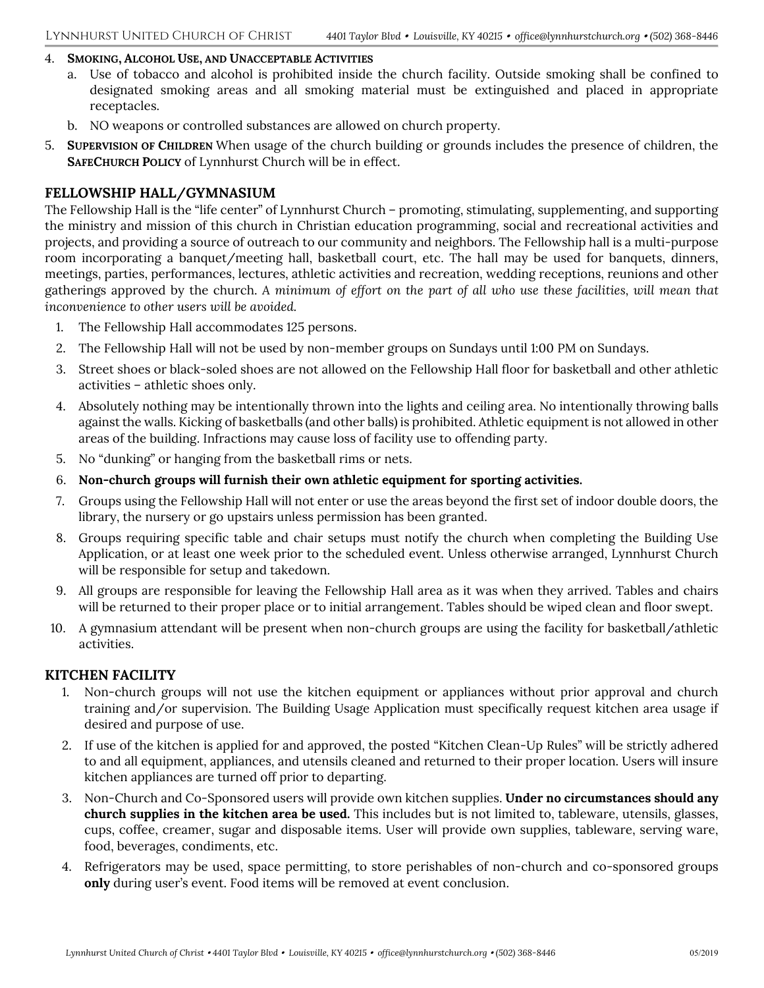#### 4. **SMOKING, ALCOHOL USE, AND UNACCEPTABLE ACTIVITIES**

- a. Use of tobacco and alcohol is prohibited inside the church facility. Outside smoking shall be confined to designated smoking areas and all smoking material must be extinguished and placed in appropriate receptacles.
- b. NO weapons or controlled substances are allowed on church property.
- 5. **SUPERVISION OF CHILDREN** When usage of the church building or grounds includes the presence of children, the **SAFECHURCH POLICY** of Lynnhurst Church will be in effect.

#### **FELLOWSHIP HALL/GYMNASIUM**

The Fellowship Hall is the "life center" of Lynnhurst Church – promoting, stimulating, supplementing, and supporting the ministry and mission of this church in Christian education programming, social and recreational activities and projects, and providing a source of outreach to our community and neighbors. The Fellowship hall is a multi-purpose room incorporating a banquet/meeting hall, basketball court, etc. The hall may be used for banquets, dinners, meetings, parties, performances, lectures, athletic activities and recreation, wedding receptions, reunions and other gatherings approved by the church. *A minimum of effort on the part of all who use these facilities, will mean that inconvenience to other users will be avoided.*

- 1. The Fellowship Hall accommodates 125 persons.
- 2. The Fellowship Hall will not be used by non-member groups on Sundays until 1:00 PM on Sundays.
- 3. Street shoes or black-soled shoes are not allowed on the Fellowship Hall floor for basketball and other athletic activities – athletic shoes only.
- 4. Absolutely nothing may be intentionally thrown into the lights and ceiling area. No intentionally throwing balls against the walls. Kicking of basketballs (and other balls) is prohibited. Athletic equipment is not allowed in other areas of the building. Infractions may cause loss of facility use to offending party.
- 5. No "dunking" or hanging from the basketball rims or nets.
- 6. **Non-church groups will furnish their own athletic equipment for sporting activities.**
- 7. Groups using the Fellowship Hall will not enter or use the areas beyond the first set of indoor double doors, the library, the nursery or go upstairs unless permission has been granted.
- 8. Groups requiring specific table and chair setups must notify the church when completing the Building Use Application, or at least one week prior to the scheduled event. Unless otherwise arranged, Lynnhurst Church will be responsible for setup and takedown.
- 9. All groups are responsible for leaving the Fellowship Hall area as it was when they arrived. Tables and chairs will be returned to their proper place or to initial arrangement. Tables should be wiped clean and floor swept.
- 10. A gymnasium attendant will be present when non-church groups are using the facility for basketball/athletic activities.

#### **KITCHEN FACILITY**

- 1. Non-church groups will not use the kitchen equipment or appliances without prior approval and church training and/or supervision. The Building Usage Application must specifically request kitchen area usage if desired and purpose of use.
- 2. If use of the kitchen is applied for and approved, the posted "Kitchen Clean-Up Rules" will be strictly adhered to and all equipment, appliances, and utensils cleaned and returned to their proper location. Users will insure kitchen appliances are turned off prior to departing.
- 3. Non-Church and Co-Sponsored users will provide own kitchen supplies. **Under no circumstances should any church supplies in the kitchen area be used.** This includes but is not limited to, tableware, utensils, glasses, cups, coffee, creamer, sugar and disposable items. User will provide own supplies, tableware, serving ware, food, beverages, condiments, etc.
- 4. Refrigerators may be used, space permitting, to store perishables of non-church and co-sponsored groups **only** during user's event. Food items will be removed at event conclusion.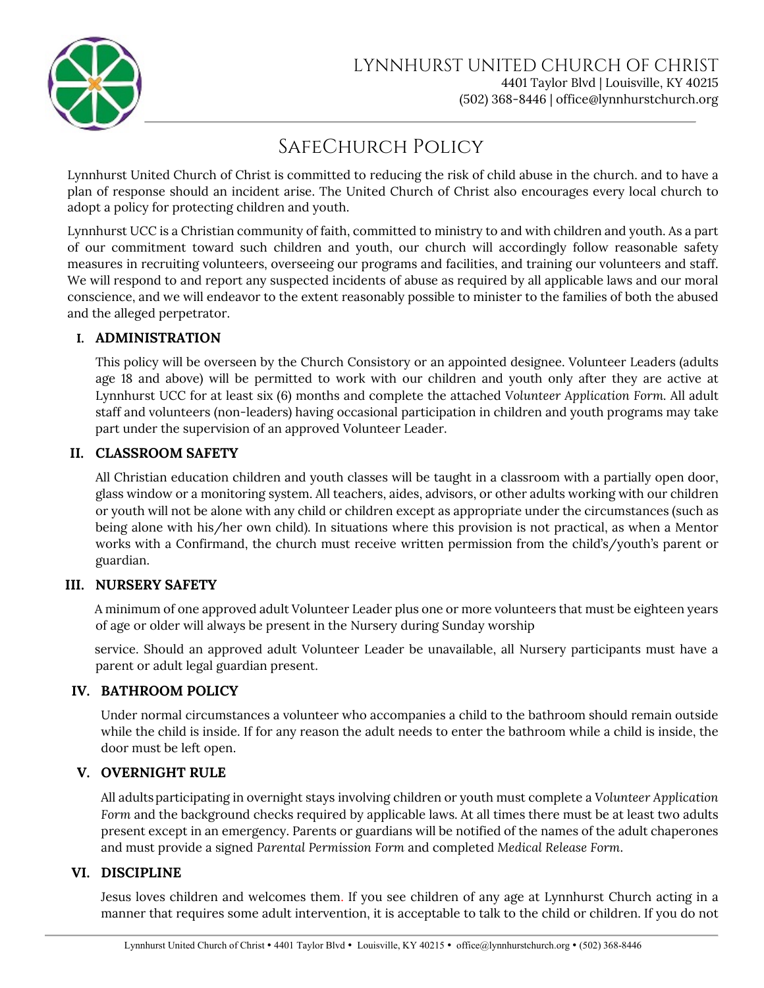

# SafeChurch Policy

Lynnhurst United Church of Christ is committed to reducing the risk of child abuse in the church. and to have a plan of response should an incident arise. The United Church of Christ also encourages every local church to adopt a policy for protecting children and youth.

Lynnhurst UCC is a Christian community of faith, committed to ministry to and with children and youth. As a part of our commitment toward such children and youth, our church will accordingly follow reasonable safety measures in recruiting volunteers, overseeing our programs and facilities, and training our volunteers and staff. We will respond to and report any suspected incidents of abuse as required by all applicable laws and our moral conscience, and we will endeavor to the extent reasonably possible to minister to the families of both the abused and the alleged perpetrator.

## **I. ADMINISTRATION**

This policy will be overseen by the Church Consistory or an appointed designee. Volunteer Leaders (adults age 18 and above) will be permitted to work with our children and youth only after they are active at Lynnhurst UCC for at least six (6) months and complete the attached *Volunteer Application Form.* All adult staff and volunteers (non-leaders) having occasional participation in children and youth programs may take part under the supervision of an approved Volunteer Leader.

## **II. CLASSROOM SAFETY**

All Christian education children and youth classes will be taught in a classroom with a partially open door, glass window or a monitoring system. All teachers, aides, advisors, or other adults working with our children or youth will not be alone with any child or children except as appropriate under the circumstances (such as being alone with his/her own child). In situations where this provision is not practical, as when a Mentor works with a Confirmand, the church must receive written permission from the child's/youth's parent or guardian.

## **III. NURSERY SAFETY**

A minimum of one approved adult Volunteer Leader plus one or more volunteers that must be eighteen years of age or older will always be present in the Nursery during Sunday worship

service. Should an approved adult Volunteer Leader be unavailable, all Nursery participants must have a parent or adult legal guardian present.

## **IV. BATHROOM POLICY**

Under normal circumstances a volunteer who accompanies a child to the bathroom should remain outside while the child is inside. If for any reason the adult needs to enter the bathroom while a child is inside, the door must be left open.

## **V. OVERNIGHT RULE**

All adultsparticipating in overnight stays involving children or youth must complete a *Volunteer Application*  Form and the background checks required by applicable laws. At all times there must be at least two adults present except in an emergency. Parents or guardians will be notified of the names of the adult chaperones and must provide a signed *Parental Permission Form* and completed *Medical Release Form*.

## **VI. DISCIPLINE**

Jesus loves children and welcomes them. If you see children of any age at Lynnhurst Church acting in a manner that requires some adult intervention, it is acceptable to talk to the child or children. If you do not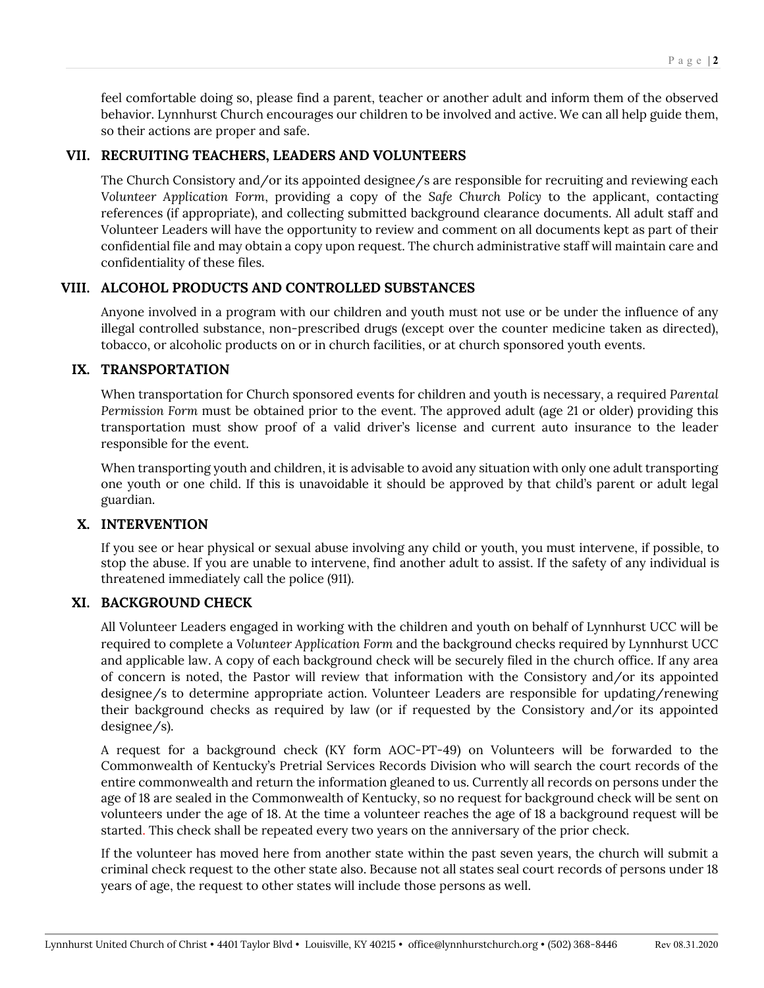feel comfortable doing so, please find a parent, teacher or another adult and inform them of the observed behavior. Lynnhurst Church encourages our children to be involved and active. We can all help guide them, so their actions are proper and safe.

#### **VII. RECRUITING TEACHERS, LEADERS AND VOLUNTEERS**

The Church Consistory and/or its appointed designee/s are responsible for recruiting and reviewing each *Volunteer Application Form*, providing a copy of the *Safe Church Policy* to the applicant, contacting references (if appropriate), and collecting submitted background clearance documents. All adult staff and Volunteer Leaders will have the opportunity to review and comment on all documents kept as part of their confidential file and may obtain a copy upon request. The church administrative staff will maintain care and confidentiality of these files.

## **VIII. ALCOHOL PRODUCTS AND CONTROLLED SUBSTANCES**

Anyone involved in a program with our children and youth must not use or be under the influence of any illegal controlled substance, non-prescribed drugs (except over the counter medicine taken as directed), tobacco, or alcoholic products on or in church facilities, or at church sponsored youth events.

#### **IX. TRANSPORTATION**

When transportation for Church sponsored events for children and youth is necessary, a required *Parental Permission Form* must be obtained prior to the event. The approved adult (age 21 or older) providing this transportation must show proof of a valid driver's license and current auto insurance to the leader responsible for the event.

When transporting youth and children, it is advisable to avoid any situation with only one adult transporting one youth or one child. If this is unavoidable it should be approved by that child's parent or adult legal guardian.

## **X. INTERVENTION**

If you see or hear physical or sexual abuse involving any child or youth, you must intervene, if possible, to stop the abuse. If you are unable to intervene, find another adult to assist. If the safety of any individual is threatened immediately call the police (911).

#### **XI. BACKGROUND CHECK**

All Volunteer Leaders engaged in working with the children and youth on behalf of Lynnhurst UCC will be required to complete a *Volunteer Application Form* and the background checks required by Lynnhurst UCC and applicable law. A copy of each background check will be securely filed in the church office. If any area of concern is noted, the Pastor will review that information with the Consistory and/or its appointed designee/s to determine appropriate action. Volunteer Leaders are responsible for updating/renewing their background checks as required by law (or if requested by the Consistory and/or its appointed designee/s).

A request for a background check (KY form AOC-PT-49) on Volunteers will be forwarded to the Commonwealth of Kentucky's Pretrial Services Records Division who will search the court records of the entire commonwealth and return the information gleaned to us. Currently all records on persons under the age of 18 are sealed in the Commonwealth of Kentucky, so no request for background check will be sent on volunteers under the age of 18. At the time a volunteer reaches the age of 18 a background request will be started. This check shall be repeated every two years on the anniversary of the prior check.

If the volunteer has moved here from another state within the past seven years, the church will submit a criminal check request to the other state also. Because not all states seal court records of persons under 18 years of age, the request to other states will include those persons as well.